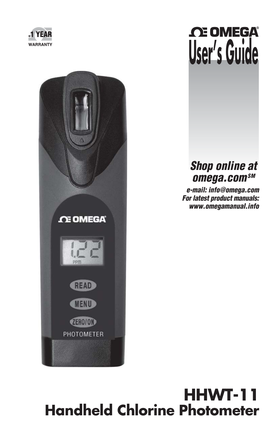



# **OE OMEGA User's Guide**

# *Shop online at* **omega.com**SM

 *e-mail: info@omega.com For latest product manuals: www.omegamanual.info*

# **HHWT-11 Handheld Chlorine Photometer**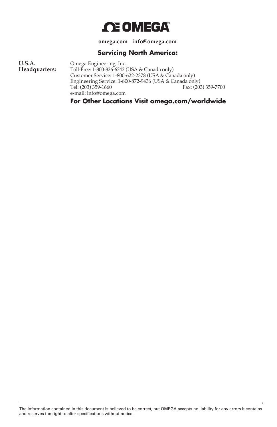

**omega.com info@omega.com**

#### **Servicing North America:**

**U.S.A.** Omega Engineering, Inc.<br> **Headquarters:** Toll-Free: 1-800-826-6342 Toll-Free: 1-800-826-6342 (USA & Canada only) Customer Service: 1-800-622-2378 (USA & Canada only) Engineering Service: 1-800-872-9436 (USA & Canada only) Fax: (203) 359-7700 e-mail: info@omega.com

**For Other Locations Visit omega.com/worldwide**

The information contained in this document is believed to be correct, but OMEGA accepts no liability for any errors it contains and reserves the right to alter specifications without notice.

,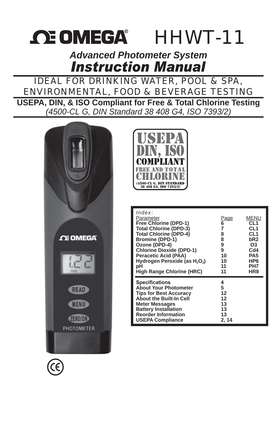# **OE OMEGA** HHWT-11

*Advanced Photometer System*

# IDEAL FOR DRINKING WATER, POOL & SPA, ENVIRONMENTAL, FOOD & BEVERAGE TESTING

**USEPA, DIN, & ISO Compliant for Free & Total Chlorine Testing** *(4500-CL G, DIN Standard 38 408 G4, ISO 7393/2)*





| Index:<br>Parameter<br>Free Chlorine (DPD-1)<br><b>Total Chlorine (DPD-3)</b><br><b>Total Chlorine (DPD-4)</b><br><b>Bromine (DPD-1)</b><br>Ozone (DPD-4)<br><b>Chlorine Dioxide (DPD-1)</b><br>Peracetic Acid (PAA)<br>Hydrogen Peroxide (as H <sub>2</sub> O <sub>2</sub> )<br>рH<br>High Range Chlorine (HRC) | <u>Page</u><br>6<br>7<br>8<br>8<br>9<br>9<br>10<br>10<br>11<br>11 | MENU<br>CL <sub>1</sub><br>CL <sub>1</sub><br>CL <sub>1</sub><br>bR <sub>2</sub><br>O3<br>C <sub>d4</sub><br>PA <sub>5</sub><br>HP <sub>6</sub><br>PH7<br>HR8 |
|------------------------------------------------------------------------------------------------------------------------------------------------------------------------------------------------------------------------------------------------------------------------------------------------------------------|-------------------------------------------------------------------|---------------------------------------------------------------------------------------------------------------------------------------------------------------|
| <b>Specifications</b><br><b>About Your Photometer</b><br><b>Tips for Best Accuracy</b><br><b>About the Built-In Cell</b><br><b>Meter Messages</b><br><b>Battery Installation</b><br><b>Reorder Information</b><br><b>USEPA Compliance</b>                                                                        | 4<br>5<br>12<br>12<br>13<br>13<br>13<br>2, 14                     |                                                                                                                                                               |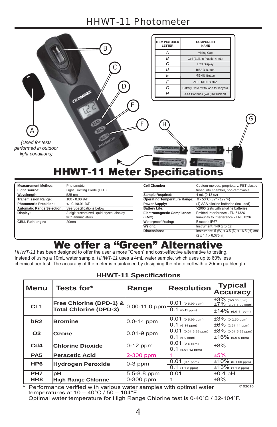# HHWT-11 Photometer

|                                                                   | в<br><b>CE OMEGA</b>                | D                    | <b>ITEM PICTURED</b><br><b>LETTER</b><br>Α<br>B<br>$\overline{C}$<br>$\overline{D}$<br>E<br>F<br>G<br>H | <b>COMPONENT</b><br><b>NAME</b><br>Mixing Cap<br>Cell (Built-in Plastic, 4 mL)<br><b>LCD Display</b><br><b>READ Button</b><br><b>MENU Button</b><br><b>ZERO/ON Button</b><br>Battery Cover with loop for lanyard<br>AAA Batteries (x4) (Included) |   |
|-------------------------------------------------------------------|-------------------------------------|----------------------|---------------------------------------------------------------------------------------------------------|---------------------------------------------------------------------------------------------------------------------------------------------------------------------------------------------------------------------------------------------------|---|
| A<br>(Used for tests<br>performed in outdoor<br>light conditions) | <b>HHWT-11 Meter Specifications</b> | E                    |                                                                                                         |                                                                                                                                                                                                                                                   | G |
| <b>Measurement Method:</b>                                        | Photometric                         |                      | Cell Chamber:                                                                                           | Custom-molded, proprietary, PET plastic                                                                                                                                                                                                           |   |
| <b>Light Source:</b>                                              | Light Emitting Diode (LED)          |                      |                                                                                                         | fused into chamber, non-removable                                                                                                                                                                                                                 |   |
| Wavelength:                                                       | 525 nm                              |                      | Sample Required:                                                                                        | 4 mL (0.13 oz)                                                                                                                                                                                                                                    |   |
| <b>Transmission Range:</b>                                        | 100 - 0.00 %T                       |                      | <b>Operating Temperature Range:</b>                                                                     | 0 - 50°C (32° - 122°F)                                                                                                                                                                                                                            |   |
| <b>Photometric Precision:</b>                                     | $+/- 0.1/0.01 %$ T                  |                      | Power Supply:                                                                                           | (4) AAA alkaline batteries (Included)                                                                                                                                                                                                             |   |
| <b>Automatic Range Selection:</b>                                 | See Specifications below            | <b>Battery Life:</b> |                                                                                                         | >2000 tests with alkaline batteries                                                                                                                                                                                                               |   |

| Display:                | 3-digit customized liquid crystal display |  |
|-------------------------|-------------------------------------------|--|
|                         | with annunciators                         |  |
| <b>CELL Pathlength:</b> | 20 <sub>mm</sub>                          |  |
|                         |                                           |  |
|                         |                                           |  |

| Cell Chamber:                       | Custom-molded, proprietary, PET plastic                                         |  |
|-------------------------------------|---------------------------------------------------------------------------------|--|
|                                     | fused into chamber, non-removable                                               |  |
| Sample Required:                    | 4 mL (0.13 oz)                                                                  |  |
| <b>Operating Temperature Range:</b> | 0 - 50°C (32° - 122°F)                                                          |  |
| Power Supply:                       | (4) AAA alkaline batteries (Included)                                           |  |
| <b>Battery Life:</b>                | >2000 tests with alkaline batteries                                             |  |
| Electromagnetic Compliance:         | Emitted Interference - EN 61326                                                 |  |
| (EMC)                               | Immunity to Interference - EN 61326                                             |  |
| <b>Waterproof Rating:</b>           | Exceeds IP67                                                                    |  |
| Weight:                             | Instrument: $140 g (5 oz)$                                                      |  |
| Dimensions:                         | Instrument: 5 (W) x 3.5 (D) x 16.5 (H) cm;<br>$(2 \times 1.4 \times 6.375)$ in) |  |
|                                     |                                                                                 |  |

# We offer a "Green" Alternative

HHWT-11 has been designed to offer the user a more "Green" and cost-effective alternative to testing. Instead of using a 10mL water sample, HHWT-11 uses a 4mL water sample, which uses up to 60% less chemical per test. The accuracy of the meter is maintained by designing the photo cell with a 20mm pathlength.

| <b>Menu</b>     | Tests for*                                               | Range          | <b>Resolution</b>                         | <b>Typical</b><br><b>Accuracy</b>                                           |
|-----------------|----------------------------------------------------------|----------------|-------------------------------------------|-----------------------------------------------------------------------------|
| CL <sub>1</sub> | Free Chlorine (DPD-1) &<br><b>Total Chlorine (DPD-3)</b> | 0.00-11.0 ppm  | $0.01$ (0-5.99 ppm)<br>$0.1$ (6-11 ppm)   | $\pm 3\%$ (0-3.00 ppm)<br>$\pm 7\%$ (3.01-5.99 ppm)<br>$±14\%$ (6.0-11 ppm) |
| bR2             | <b>Bromine</b>                                           | $0.0 - 14$ ppm | $0.01$ (0-5.99 ppm)<br>$0.1$ (6-14 ppm)   | $\pm 3\%$ (0-2.50 ppm)<br>$\pm 6\%$ (2.51-14 ppm)                           |
| O <sub>3</sub>  | Ozone                                                    | $0.01-9$ ppm   | $0.01$ (0.01-5.99 ppm)<br>$0.1$ (6-9 ppm) | $\pm8\%$ (0.01-5.99 ppm)<br>$±16\%$ (6.0-9 ppm)                             |
| Cd4             | <b>Chlorine Dioxide</b>                                  | $0-12$ ppm     | $0.01$ (0-5 ppm)<br>$0.1$ (5.01-12 ppm)   | ±8%                                                                         |
| PA <sub>5</sub> | <b>Peracetic Acid</b>                                    | 2-300 ppm      |                                           | ±5%                                                                         |
| HP <sub>6</sub> | <b>Hydrogen Peroxide</b>                                 | $0-3$ ppm      | $0.01$ (0-1 ppm)<br>$0.1$ (1.1-3 ppm)     | $±10\%$ (0-1.00 ppm)<br>$±13\%$ (1.1-3 ppm)                                 |
| PH <sub>7</sub> | рH                                                       | 5.5-8.8 ppm    | 0.01                                      | $±0.4$ pH                                                                   |
| HR <sub>8</sub> | <b>High Range Chlorine</b>                               | $0-300$ ppm    |                                           | ±8%                                                                         |

#### **HHWT-11 Specifications**

\* Performance verified with various water samples with optimal water temperatures at  $10 - 40^{\circ}$ C / 50 - 104°F.

R102016

Optimal water temperature for High Range Chlorine test is 0-40°C / 32-104°F.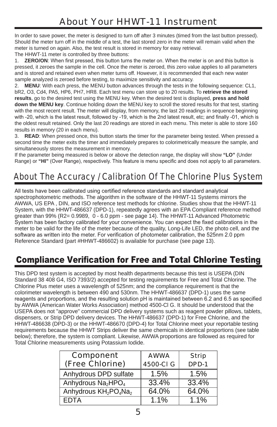# About Your HHWT-11 Instrument

In order to save power, the meter is designed to turn off after 3 minutes (timed from the last button pressed). Should the meter turn off in the middle of a test, the last stored zero in the meter will remain valid when the meter is turned on again. Also, the test result is stored in memory for easy retrieval.

The HHWT-11 meter is controlled by three buttons:

1. **ZERO/ON:** When first pressed, this button turns the meter on. When the meter is on and this button is pressed, it zeroes the sample in the cell. Once the meter is zeroed, this zero value applies to all parameters and is stored and retained even when meter turns off. However, it is recommended that each new water sample analyzed is zeroed before testing, to maximize sensitivity and accuracy.

2. **MENU**: With each press, the MENU button advances through the tests in the following sequence: CL1, bR2, O3, Cd4, PA5, HP6, PH7, HR8. Each test menu can store up to 20 results. To **retrieve the stored results**, go to the desired test using the MENU key. When the desired test is displayed, **press and hold down the MENU key**. Continue holding down the MENU key to scroll the stored results for that test, starting with the most recent result. The meter will display, from memory, the last 20 readings in sequence beginning with -20, which is the latest result, followed by -19, which is the 2nd latest result, etc: and finally -01. which is the oldest result retained. Only the last 20 readings are stored in each menu. This meter is able to store 160 results in memory (20 in each menu).

3. **READ**: When pressed once, this button starts the timer for the parameter being tested. When pressed a second time the meter exits the timer and immediately prepares to colorimetrically measure the sample, and simultaneously stores the measurement in memory.

If the parameter being measured is below or above the detection range, the display will show **"LO"** (Under Range) or "HI" (Over Range), respectively. This feature is menu specific and does not apply to all parameters.

# About The Accuracy / Calibration Of The Chlorine Plus System

All tests have been calibrated using certified reference standards and standard analytical spectrophotometric methods. The algorithm in the software of the HHWT-11 Systems mirrors the AWWA, US EPA , DIN, and ISO reference test methods for chlorine. Studies show that the HHWT-11 System, with the HHWT-486637 (DPD-1), repeatedly agrees with an EPA Compliant reference method greater than 99% (R2= 0.9989, 0 - 6.0 ppm - see page 14). The HHWT-11 Advanced Photometric System has been factory calibrated for your convenience. You can expect the fixed calibrations in the meter to be valid for the life of the meter because of the quality, Long-Life LED, the photo cell, and the software as written into the meter. For verification of photometer calibration, the 525nm 2.0 ppm Reference Standard (part #HHWT-486602) is available for purchase (see page 13).

# Compliance Verification for Free and Total Chlorine Testing

This DPD test system is accepted by most health departments because this test is USEPA (DIN Standard 38 408 G4, ISO 7393/2) accepted for testing requirements for Free and Total Chlorine. The Chlorine Plus meter uses a wavelength of 525nm; and the compliance requirement is that the colorimeter wavelength is between 490 and 530nm. The HHWT-486637 (DPD-1) uses the same reagents and proportions, and the resulting solution pH is maintained between 6.2 and 6.5 as specified by AWWA (American Water Works Association) method 4500-Cl G. It should be understood that the USEPA does not "approve" commercial DPD delivery systems such as reagent powder pillows, tablets, dispensers, or Strip DPD delivery devices. The HHWT-486637 (DPD-1) for Free Chlorine, and the HHWT-486638 (DPD-3) or the HHWT-486670 (DPD-4) for Total Chlorine meet your reportable testing requirements because the HHWT Strips deliver the same chemicals in identical proportions (see table below); therefore, the system is compliant. Likewise, AWWA proportions are followed as required for Total Chlorine measurements using Potassium Iodide.

| <b>Component</b><br>(Free Chlorine)                       | <b>AWWA</b><br>4500-CI G | <b>Strip</b><br>DPD-1 |
|-----------------------------------------------------------|--------------------------|-----------------------|
| Anhydrous DPD sulfate                                     | 1.5%                     | 1.5%                  |
| Anhydrous Na <sub>2</sub> HPO <sub>4</sub>                | 33.4%                    | 33.4%                 |
| Anhydrous KH <sub>2</sub> PO <sub>4</sub> Na <sub>2</sub> | 64.0%                    | 64.0%                 |
| <b>FDTA</b>                                               | $1.1\%$                  | $1.1\%$               |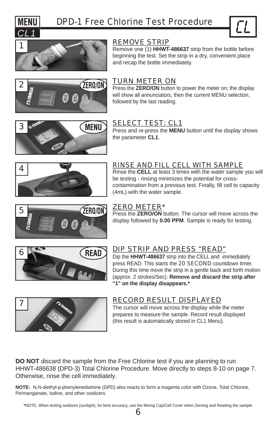



Remove one (1) **HHWT-486637** strip from the bottle before beginning the test. Set the strip in a dry, convenient place and recap the bottle immediately.



#### TURN METER ON

Press the **ZERO/ON** button to power the meter on; the display will show all annunciators, then the current MENU selection, followed by the last reading.

# ್ನಂ 3 **MENU**

## SELECT TEST: CL1

Press and re-press the **MENU** button until the display shows the parameter **CL1**.



#### RINSE AND FILL CELL WITH SAMPLE

Rinse the **CELL** at least 3 times with the water sample you will be testing - rinsing minimizes the potential for crosscontamination from a previous test. Finally, fill cell to capacity (4mL) with the water sample.



#### ZERO METER\*

Press the **ZERO/ON** button. The cursor will move across the display followed by **0.00 PPM**. Sample is ready for testing.



## DIP STRIP AND PRESS "READ"

Dip the **HHWT-486637** strip into the CELL and immediately press READ. This starts the 20 **SECOND** countdown timer. During this time move the strip in a gentle back and forth motion (approx. 2 strokes/Sec). **Remove and discard the strip after "1" on the display disappears.\***



## RECORD RESULT DISPLAYED

The cursor will move across the display while the meter prepares to measure the sample. Record result displayed (this result is automatically stored in CL1 Menu).

**DO NOT** discard the sample from the Free Chlorine test if you are planning to run HHWT-486638 (DPD-3) Total Chlorine Procedure. Move directly to steps 8-10 on page 7. Otherwise, rinse the cell immediately.

**NOTE:** N,N-diethyl-p-phenylenediamine (DPD) also reacts to form a magenta color with Ozone, Total Chlorine, Permanganate, Iodine, and other oxidizers.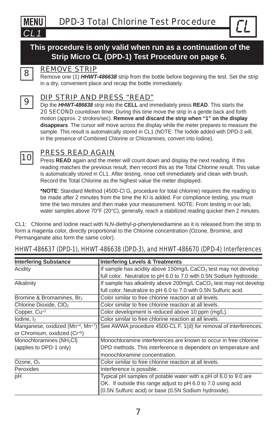

## **This procedure is only valid when run as a continuation of the Strip Micro CL (DPD-1) Test Procedure on page 6.**



#### REMOVE STRIP

8 **8 Remove one (1)** *HHWT-486638* strip from the bottle before beginning the test. Set the strip in a dry, convenient place and recap the bottle immediately.

#### DIP STRIP AND PRESS "READ"

9 Dip the *HHWT-486638* strip into the **CELL** and immediately press **READ**. This starts the 20 SECOND countdown timer. During this time move the strip in a gentle back and forth motion (approx. 2 strokes/sec). **Remove and discard the strip when "1" on the display disappears**. The cursor will move across the display while the meter prepares to measure the sample. This result is automatically stored in CL1 (NOTE: The Iodide added with DPD-3 will, in the presence of Combined Chlorine or Chloramines, convert into Iodine).



# 10 PRESS READ AGAIN

Press **READ** again and the meter will count down and display the next reading. If this reading matches the previous result, then record this as the Total Chlorine result. This value is automatically stored in CL1. After testing, rinse cell immediately and clean with brush. Record the Total Chlorine as the highest value the meter displayed.

**\*NOTE**: Standard Method (4500-Cl G, procedure for total chlorine) requires the reading to be made after 2 minutes from the time the KI is added. For compliance testing, you must time the two minutes and then make your measurement. NOTE: From testing in our lab, water samples above 70°F (20°C), generally, reach a stabilized reading quicker then 2 minutes.

CL1: Chlorine and Iodine react with N,N-diethyl-p-phenylenediamine as it is released from the strip to form a magenta color, directly proportional to the Chlorine concentration (Ozone, Bromine, and Permanganate also form the same color).

| <b>Interfering Substance</b>          | <b>Interfering Levels &amp; Treatments</b>                                    |  |
|---------------------------------------|-------------------------------------------------------------------------------|--|
| Acidity                               | If sample has acidity above 150mg/L CaCO <sub>3</sub> test may not develop    |  |
|                                       | full color. Neutralize to pH 6.0 to 7.0 with 0.5N Sodium hydroxide.           |  |
| Alkalinity                            | If sample has alkalinity above 200mg/L CaCO <sub>3</sub> test may not develop |  |
|                                       | full color. Neutralize to pH 6.0 to 7.0 with 0.5N Sulfuric acid.              |  |
| Bromine & Bromamines, Br <sub>2</sub> | Color similar to free chlorine reaction at all levels.                        |  |
| Chlorine Dioxide, CIO <sub>2</sub>    | Color similar to free chlorine reaction at all levels.                        |  |
| Copper, Cu <sup>+2</sup>              | Color development is reduced above 10 ppm (mg/L).                             |  |
| lodine, $I_2$                         | Color similar to free chlorine reaction at all levels.                        |  |
| Manganese, oxidized (Mn+4, Mn+7)      | See AWWA procedure 4500-CL F, 1(d) for removal of interferences.              |  |
| or Chromium, oxidized (Cr+6)          |                                                                               |  |
| Monochloramines (NH <sub>2</sub> CI)  | Monochloramine interferences are known to occur in free chlorine              |  |
| (applies to DPD-1 only)               | DPD methods. This interference is dependent on temperature and                |  |
|                                       | monochloramine concentration.                                                 |  |
| Ozone, O <sub>3</sub>                 | Color similar to free chlorine reaction at all levels.                        |  |
| Peroxides                             | Interference is possible.                                                     |  |
| pH                                    | Typical pH samples of potable water with a pH of 6.0 to 9.0 are               |  |
|                                       | OK. If outside this range adjust to pH 6.0 to 7.0 using acid                  |  |
|                                       | (0.5N Sulfuric acid) or base (0.5N Sodium hydroxide).                         |  |

#### HHWT-486637 (DPD-1), HHWT-486638 (DPD-3), and HHWT-486670 (DPD-4) Interferences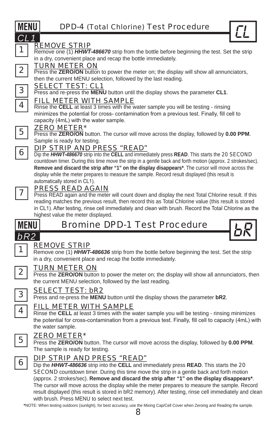Remove one (1) **HHWT-486670** strip from the bottle before beginning the test. Set the strip in a dry, convenient place and recap the bottle immediately.

### TURN METER ON

Press the **ZERO/ON** button to power the meter on; the display will show all annunciators, then the current MENU selection, followed by the last reading.

#### SELECT TEST: CL1

3 Press and re-press the **MENU** button until the display shows the parameter **CL1**.

#### FILL METER WITH SAMPLE

Rinse the **CELL** at least 3 times with the water sample you will be testing - rinsing minimizes the potential for cross- contamination from a previous test. Finally, fill cell to capacity (4mL) with the water sample.

#### ZERO METER\*

5 Press the **ZERO/ON** button. The cursor will move across the display, followed by **0.00 PPM**. Sample is ready for testing.

## DIP STRIP AND PRESS "READ"

6 Dip the *HHWT-486670* strip into the **CELL** and immediately press **READ**. This starts the 20 SECOND countdown timer. During this time move the strip in a gentle back and forth motion (approx. 2 strokes/sec). **Remove and discard the strip after "1" on the display disappears\***. The cursor will move across the display while the meter prepares to measure the sample. Record result displayed (this result is automatically stored in CL1).



## PRESS READ AGAIN

7 | **Press READ again and the meter will count down and display the next Total Chlorine result. If this** reading matches the previous result, then record this as Total Chlorine value (this result is stored in CL1). After testing, rinse cell immediately and clean with brush. Record the Total Chlorine as the highest value the meter displayed.



# Bromine DPD-1 Test Procedure



## REMOVE STRIP

Remove one (1) **HHWT-486636** strip from the bottle before beginning the test. Set the strip in a dry, convenient place and recap the bottle immediately.



#### TURN METER ON

2 **Press the ZERO/ON** button to power the meter on; the display will show all annunciators, then the current MENU selection, followed by the last reading.



#### SELECT TEST: bR2

3 Press and re-press the **MENU** button until the display shows the parameter **bR2**.

#### FILL METER WITH SAMPLE

4 Rinse the **CELL** at least 3 times with the water sample you will be testing - rinsing minimizes the potential for cross-contamination from a previous test. Finally, fill cell to capacity (4mL) with the water sample.



#### ZERO METER\*

5 Press the **ZERO/ON** button. The cursor will move across the display, followed by **0.00 PPM**. The sample is ready for testing.



## DIP STRIP AND PRESS "READ"

6 Dip the *HHWT-486636* strip into the **CELL** and immediately press **READ**. This starts the <sup>20</sup> **SECOND** countdown timer. During this time move the strip in a gentle back and forth motion (approx. 2 strokes/sec). **Remove and discard the strip after "1" on the display disappears\***. The cursor will move across the display while the meter prepares to measure the sample. Record result displayed (this result is stored in bR2 memory). After testing, rinse cell immediately and clean with brush. Press MENU to select next test.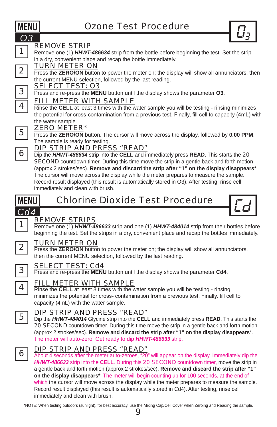

1 **Remove one (1)** *HHWT-486634* strip from the bottle before beginning the test. Set the strip in a dry, convenient place and recap the bottle immediately.

#### TURN METER ON

Press the **ZERO/ON** button to power the meter on; the display will show all annunciators, then the current MENU selection, followed by the last reading.

#### SELECT TEST: O3

3 Press and re-press the **MENU** button until the display shows the parameter **O3**.

#### FILL METER WITH SAMPLE

4 Rinse the **CELL** at least 3 times with the water sample you will be testing - rinsing minimizes the potential for cross-contamination from a previous test. Finally, fill cell to capacity (4mL) with the water sample.

#### ZERO METER\*

5 Press the **ZERO/ON** button. The cursor will move across the display, followed by **0.00 PPM**. The sample is ready for testing.

# **6** DIP STRIP AND PRESS "READ"<br>**6** Dip the HHWT-486634 strip into the CELL and in

Dip the *HHWT-486634* strip into the **CELL** and immediately press **READ**. This starts the 20 **SECOND** countdown timer. During this time move the strip in a gentle back and forth motion (approx 2 strokes/sec). **Remove and discard the strip after "1" on the display disappears\***. The cursor will move across the display while the meter prepares to measure the sample. Record result displayed (this result is automatically stored in O3). After testing, rinse cell immediately and clean with brush.



# Chlorine Dioxide Test Procedure



## REMOVE STRIPS

Remove one (1) *HHWT-486633* strip and one (1) *HHWT-484014* strip from their bottles before beginning the test. Set the strips in a dry, convenient place and recap the bottles immediately.



#### TURN METER ON

Press the **ZERO/ON** button to power the meter on; the display will show all annunciators, then the current MENU selection, followed by the last reading.



#### SELECT TEST: Cd4

3 Press and re-press the **MENU** button until the display shows the parameter **Cd4**.



#### FILL METER WITH SAMPLE

Rinse the **CELL** at least 3 times with the water sample you will be testing - rinsing minimizes the potential for cross- contamination from a previous test. Finally, fill cell to capacity (4mL) with the water sample.



#### DIP STRIP AND PRESS "READ"

5 Dip the *HHWT-484014* Glycine strip into the **CELL** and immediately press **READ**. This starts the 20 **SECOND** countdown timer. During this time move the strip in a gentle back and forth motion (approx 2 strokes/sec). **Remove and discard the strip after "1" on the display disappears**\*. The meter will auto-zero. Get ready to dip *HHWT-486633* strip.



**6 DIP STRIP AND PRESS "READ"**<br>About 4 seconds after the meter auto-zeroes, "20" will appear on the display. Immediately dip the *HHWT-486633* strip into the **CELL**. During this 20 SECOND countdown timer, move the strip in a gentle back and forth motion (approx 2 strokes/sec). **Remove and discard the strip after "1" on the display disappears\***. The meter will begin counting up for 100 seconds, at the end of which the cursor will move across the display while the meter prepares to measure the sample. Record result displayed (this result is automatically stored in Cd4). After testing, rinse cell immediately and clean with brush.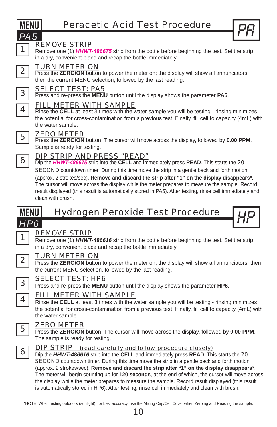

Press the **ZERO/ON** button to power the meter on; the display will show all annunciators, then the current MENU selection, followed by the last reading.

Remove one (1) **HHWT-486675** strip from the bottle before beginning the test. Set the strip

# SELECT TEST: PA5

REMOVE STRIP

3 Press and re-press the **MENU** button until the display shows the parameter **PA5**.

## FILL METER WITH SAMPLE

4 Rinse the **CELL** at least 3 times with the water sample you will be testing - rinsing minimizes the potential for cross-contamination from a previous test. Finally, fill cell to capacity (4mL) with the water sample.

### ZERO METER

5 Press the **ZERO/ON** button. The cursor will move across the display, followed by **0.00 PPM**. Sample is ready for testing.

## DIP STRIP AND PRESS "READ"

6 Dip the *HHWT-486675* strip into the **CELL** and immediately press **READ**. This starts the <sup>20</sup> **SECOND** countdown timer. During this time move the strip in a gentle back and forth motion (approx. 2 strokes/sec). **Remove and discard the strip after "1" on the display disappears**\*. The cursor will move across the display while the meter prepares to measure the sample. Record result displayed (this result is automatically stored in PA5). After testing, rinse cell immediately and clean with brush.

# Hydrogen Peroxide Test Procedure *HP6* HP

## REMOVE STRIP

Remove one (1) **HHWT-486616** strip from the bottle before beginning the test. Set the strip in a dry, convenient place and recap the bottle immediately.

#### TURN METER ON

2 **Press the ZERO/ON** button to power the meter on; the display will show all annunciators, then the current MENU selection, followed by the last reading.



## SELECT TEST: HP6

3 Press and re-press the **MENU** button until the display shows the parameter **HP6**.

## FILL METER WITH SAMPLE

4 Rinse the **CELL** at least 3 times with the water sample you will be testing - rinsing minimizes the potential for cross-contamination from a previous test. Finally, fill cell to capacity (4mL) with the water sample.

#### ZERO METER

5 Press the **ZERO/ON** button. The cursor will move across the display, followed by **0.00 PPM**. The sample is ready for testing.



#### DIP STRIP - (read carefully and follow procedure closely)

6 Dip the *HHWT-486616* strip into the **CELL** and immediately press **READ**. This starts the <sup>20</sup> **SECOND** countdown timer. During this time move the strip in a gentle back and forth motion (approx. 2 strokes/sec). **Remove and discard the strip after "1" on the display disappears**\*. The meter will begin counting up for **120 seconds**, at the end of which, the cursor will move across the display while the meter prepares to measure the sample. Record result displayed (this result is automatically stored in HP6). After testing, rinse cell immediately and clean with brush.





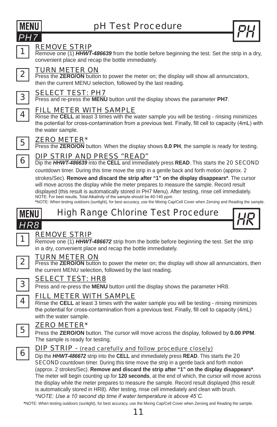





Remove one (1) **HHWT-486639** from the bottle before beginning the test. Set the strip in a dry, convenient place and recap the bottle immediately.



#### TURN METER ON

2 **Press the ZERO/ON** button to power the meter on; the display will show all annunciators, then the current MENU selection, followed by the last reading.



#### SELECT TEST: PH7

3 Press and re-press the **MENU** button until the display shows the parameter **PH7**.



#### FILL METER WITH SAMPLE

**Rinse the CELL** at least 3 times with the water sample you will be testing - rinsing minimizes the potential for cross-contamination from a previous test. Finally, fill cell to capacity (4mL) with the water sample.



#### ZERO METER\*

5 **FREAD INCTER**<br>Press the **ZERO/ON** button. When the display shows 0.0 PH, the sample is ready for testing.

#### DIP STRIP AND PRESS "READ"

6 Dip the *HHWT-486639* into the **CELL** and immediately press **READ**. This starts the 20 SECOND countdown timer. During this time move the strip in a gentle back and forth motion (approx. 2

strokes/Sec). **Remove and discard the strip after "1" on the display disappears\***. The cursor will move across the display while the meter prepares to measure the sample. Record result displayed (this result is automatically stored in PH7 Menu). After testing, rinse cell immediately. NOTE: For best results, Total Alkalinity of the sample should be 40-140 ppm.

**\***NOTE: When testing outdoors (sunlight), for best accuracy, use the Mixing Cap/Cell Cover when Zeroing and Reading the sample.



## REMOVE STRIP

Remove one (1) *HHWT-486672* strip from the bottle before beginning the test. Set the strip in a dry, convenient place and recap the bottle immediately.



#### TURN METER ON

**2** Press the **ZERO/ON** button to power the meter on; the display will show all annunciators, then the current MENU selection, followed by the last reading.



#### SELECT TEST: HR8

**3** Press and re-press the **MENU** button until the display shows the parameter HR8.

#### FILL METER WITH SAMPLE

4 **A** Rinse the **CELL** at least 3 times with the water sample you will be testing - rinsing minimizes the potential for cross-contamination from a previous test. Finally, fill cell to capacity (4mL) with the water sample.

#### ZERO METER\*

5 Press the **ZERO/ON** button. The cursor will move across the display, followed by **0.00 PPM**. The sample is ready for testing.



#### DIP STRIP - (read carefully and follow procedure closely)

6 Dip the *HHWT-486672* strip into the **CELL** and immediately press **READ**. This starts the <sup>20</sup> **SECOND** countdown timer. During this time move the strip in a gentle back and forth motion (approx. 2 strokes/Sec). **Remove and discard the strip after "1" on the display disappears\***. The meter will begin counting up for **120 seconds**, at the end of which, the cursor will move across the display while the meter prepares to measure the sample. Record result displayed (this result is automatically stored in HR8). After testing, rinse cell immediately and clean with brush. *\*NOTE: Use a 10 second dip time if water temperature is above 45°C.*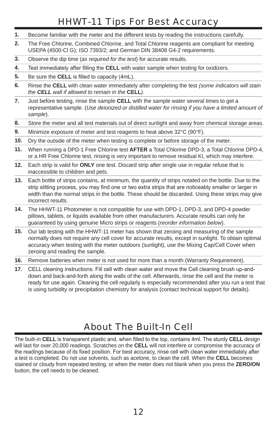# HHWT-11 Tips For Best Accuracy

- **1.** Become familiar with the meter and the different tests by reading the instructions carefully.
- **2.** The Free Chlorine, Combined Chlorine, and Total Chlorine reagents are compliant for meeting USEPA (4500-Cl G); ISO 7393/2; and German DIN 38408 G4-2 requirements.
- **3.** Observe the dip time (*as required for the test*) for accurate results.
- **4.** Test immediately after filling the CELL with water sample when testing for oxidizers.
- **5.** Be sure the **CELL** is filled to capacity (4mL).
- **6.** Rinse the **CELL** with clean water immediately after completing the test *(some indicators will stain the CELL wall if allowed to remain in the* **CELL***).*
- **7.** Just before testing, rinse the sample **CELL** with the sample water several times to get a representative sample. (*Use deionized or distilled water for rinsing if you have a limited amount of sample*).
- **8.** Store the meter and all test materials out of direct sunlight and away from chemical storage areas.
- **9.** Minimize exposure of meter and test reagents to heat above 32°C (90°F).
- **10.** Dry the outside of the meter when testing is complete or before storage of the meter.
- **11.** When running a DPD-1 Free Chlorine test **AFTER** a Total Chlorine DPD-3, a Total Chlorine DPD-4, or a HR Free Chlorine test, rinsing is very important to remove residual KI, which may interfere.
- **12.** Each strip is valid for **ONLY** one test. Discard strip after single use in regular refuse that is inaccessible to children and pets.
- **13.** Each bottle of strips contains, at minimum, the quantity of strips notated on the bottle. Due to the strip slitting process, you may find one or two extra strips that are noticeably smaller or larger in width than the normal strips in the bottle. These should be discarded. Using these strips may give incorrect results.
- **14.** The HHWT-11 Photometer is not compatible for use with DPD-1, DPD-3, and DPD-4 powder pillows, tablets, or liquids available from other manufacturers. Accurate results can only be guaranteed by using genuine Micro strips or reagents (*reorder information below*).
- **15.** Our lab testing with the HHWT-11 meter has shown that zeroing and measuring of the sample normally does not require any cell cover for accurate results, except in sunlight. To obtain optimal accuracy when testing with the meter outdoors (sunlight), use the Mixing Cap/Cell Cover when zeroing and reading the sample.
- **16.** Remove batteries when meter is not used for more than a month (Warranty Requirement).
- **17.** CELL cleaning instructions: Fill cell with clean water and move the Cell cleaning brush up-anddown and back-and-forth along the walls of the cell. Afterwards, rinse the cell and the meter is ready for use again. Cleaning the cell regularly is especially recommended after you run a test that is using turbidity or precipitation chemistry for analysis (contact technical support for details).

# About The Built-In Cell

The built-in CELL is transparent plastic and, when filled to the top, contains 4ml. The sturdy CELL design will last for over 20,000 readings. Scratches on the **CELL** will not interfere or compromise the accuracy of the readings because of its fixed position. For best accuracy, rinse cell with clean water immediately after a test is completed. Do not use solvents, such as acetone, to clean the cell. When the **CELL** becomes stained or cloudy from repeated testing, or when the meter does not blank when you press the **ZERO/ON** button, the cell needs to be cleaned.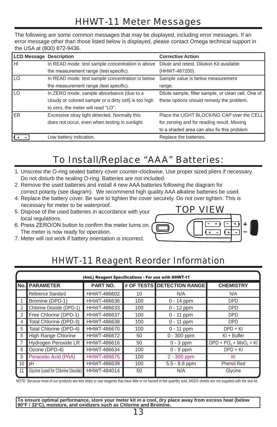# HHWT-11 Meter Messages

The following are some common messages that may be displayed, including error messages. If an error message other than those listed below is displayed, please contact Omega technical support in the USA at (800) 872-9436.

| <b>LCD Message Description</b> |                                                       | <b>Corrective Action</b>                            |
|--------------------------------|-------------------------------------------------------|-----------------------------------------------------|
| Ιнι                            | In READ mode: test sample concentration is above      | Dilute and retest. Dilution Kit available           |
|                                | the measurement range (test specific).                | (HHWT-487200).                                      |
| Ilo                            | In READ mode: test sample concentration is below      | Sample value is below measurement                   |
|                                | the measurement range (test specific).                | range.                                              |
| I LO                           | In ZERO mode: sample absorbance (due to a             | Dilute sample, filter sample, or clean cell. One of |
|                                | cloudy or colored sample or a dirty cell) is too high | these options should remedy the problem.            |
|                                | to zero, the meter will read "LO".                    |                                                     |
| <b>IER</b>                     | Excessive stray light detected. Normally this         | Place the LIGHT BLOCKING CAP over the CELL          |
|                                | does not occur, even when testing in sunlight.        | for zeroing and for reading result. Moving          |
|                                |                                                       | to a shaded area can also fix this problem.         |
|                                | Low battery indication.                               | Replace the batteries.                              |

# To Install/Replace "AAA" Batteries:

- 1. Unscrew the O-ring sealed battery cover counter-clockwise. Use proper sized pliers if necessary. Do not disturb the sealing O-ring. Batteries are not included.
- 2. Remove the used batteries and install 4 new AAA batteries following the diagram for correct polarity (see diagram). We recommend high quality AAA alkaline batteries be used.
- 4. Replace the battery cover. Be sure to tighten the cover securely. Do not over tighten. This is necessary for meter to be waterproof.
- 5. Dispose of the used batteries in accordance with your local regulations.
- 6. Press ZERO/ON button to confirm the meter turns on. The meter is now ready for operation.
- 7. Meter will not work if battery orientation is incorrect.



# HHWT-11 Reagent Reorder Information

|                | (4mL) Reagent Specifications - For use with HHWT-11 |                    |     |                            |                        |  |
|----------------|-----------------------------------------------------|--------------------|-----|----------------------------|------------------------|--|
|                | <b>No.I PARAMETER</b>                               | PART NO.           |     | # OF TESTS DETECTION RANGE | <b>CHEMISTRY</b>       |  |
|                | Reference Standard                                  | HHWT-486602        | 10  | N/A                        | N/A                    |  |
|                | Bromine (DPD-1)                                     | HHWT-486636        | 100 | 0 - 14 ppm                 | <b>DPD</b>             |  |
| $\overline{2}$ | Chlorine Dioxide (DPD-1)                            | HHWT-486633        | 100 | $0 - 12$ ppm               | <b>DPD</b>             |  |
| 3              | Free Chlorine (DPD-1)                               | HHWT-486637        | 100 | $0 - 11$ ppm               | <b>DPD</b>             |  |
| 4              | Total Chlorine (DPD-3)                              | HHWT-486638        | 100 | $0 - 11$ ppm               | DPD                    |  |
| 5              | Total Chlorine (DPD-4)                              | HHWT-486670        | 100 | $0 - 11$ ppm               | $DPD + KI$             |  |
| 6              | <b>High Range Chlorine</b>                          | HHWT-486672        | 50  | $0 - 300$ ppm              | $KI + B$ uffer         |  |
|                | Hydrogen Peroxide LR                                | HHWT-486616        | 50  | $0 - 3$ ppm                | $DPD + PO4 + MO4 + Kl$ |  |
| 8              | Ozone (DPD-4)                                       | HHWT-486634        | 100 | $0 - 9$ ppm                | $DPD + KI$             |  |
| 9              | Peracetic Acid (PAA)                                | <b>HHWT-486675</b> | 100 | $2 - 300$ ppm              | ΚI                     |  |
| 10             | ∥pH                                                 | HHWT-486639        | 100 | $5.5 - 8.8$ ppm            | <b>Phenol Red</b>      |  |
| 11             | Glycine (used for Chlorine Dioxide)                 | HHWT-484014        | 50  | N/A                        | Glycine                |  |

NOTE: Because most of our products are test strips or use reagents that have little or no hazard in the quantity sold, MSDS sheets are not supplied with the test kit.

**To ensure optimal performance, store your meter kit in a cool, dry place away from excess heat (below 90°F / 32°C), moisture, and oxidizers such as Chlorine and Bromine.**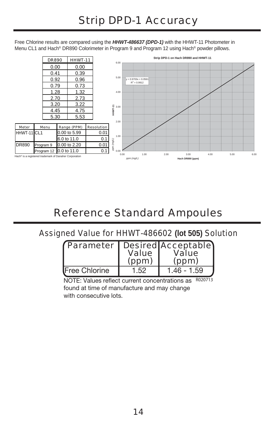Free Chlorine results are compared using the *HHWT-486637 (DPD-1)* with the HHWT-11 Photometer in Menu CL1 and Hach® DR890 Colorimeter in Program 9 and Program 12 using Hach® powder pillows.



# Reference Standard Ampoules

## Assigned Value for HHWT-486602 **(lot 505)** Solution

|               | <b>Value</b><br>(ppm) | Parameter   Desired Acceptable)<br><b>Value</b><br>(ppm) |
|---------------|-----------------------|----------------------------------------------------------|
| Free Chlorine | 1.52                  | $1.46 - 1.59$                                            |

NOTE: Values reflect current concentrations as  $R020713$ found at time of manufacture and may change with consecutive lots.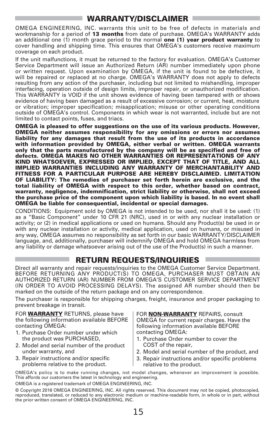## **WARRANTY/DISCLAIMER**

OMEGA ENGINEERING, INC. warrants this unit to be free of defects in materials and workmanship for a period of **13 months** from date of purchase. OMEGA's WARRANTY adds an additional one (1) month grace period to the normal **one (1) year product warranty** to cover handling and shipping time. This ensures that OMEGA's customers receive maximum coverage on each product.

If the unit malfunctions, it must be returned to the factory for evaluation. OMEGA's Customer Service Department will issue an Authorized Return (AR) number immediately upon phone or written request. Upon examination by OMEGA, if the unit is found to be defective, it will be repaired or replaced at no charge. OMEGA's WARRANTY does not apply to defects resulting from any action of the purchaser, including but not limited to mishandling, improper interfacing, operation outside of design limits, improper repair, or unauthorized modification. This WARRANTY is VOID if the unit shows evidence of having been tampered with or shows evidence of having been damaged as a result of excessive corrosion; or current, heat, moisture or vibration; improper specification; misapplication; misuse or other operating conditions outside of OMEGA's control. Components in which wear is not warranted, include but are not limited to contact points, fuses, and triacs.

**OMEGA is pleased to offer suggestions on the use of its various products. However, OMEGA neither assumes responsibility for any omissions or errors nor assumes liability for any damages that result from the use of its products in accordance with information provided by OMEGA, either verbal or written. OMEGA warrants only that the parts manufactured by the company will be as specified and free of defects. OMEGA MAKES NO OTHER WARRANTIES OR REPRESENTATIONS OF ANY KIND WHATSOEVER, EXPRESSED OR IMPLIED, EXCEPT THAT OF TITLE, AND ALL IMPLIED WARRANTIES INCLUDING ANY WARRANTY OF MERCHANTABILITY AND FITNESS FOR A PARTICULAR PURPOSE ARE HEREBY DISCLAIMED. LIMITATION OF LIABILITY: The remedies of purchaser set forth herein are exclusive, and the total liability of OMEGA with respect to this order, whether based on contract, warranty, negligence, indemnification, strict liability or otherwise, shall not exceed the purchase price of the component upon which liability is based. In no event shall OMEGA be liable for consequential, incidental or special damages.**

CONDITIONS: Equipment sold by OMEGA is not intended to be used, nor shall it be used: (1) as a "Basic Component" under 10 CFR 21 (NRC), used in or with any nuclear installation or activity; or (2) in medical applications or used on humans. Should any Product(s) be used in or with any nuclear installation or activity, medical application, used on humans, or misused in any way, OMEGA assumes no responsibility as set forth in our basic WARRANTY/DISCLAIMER language, and, additionally, purchaser will indemnify OMEGA and hold OMEGA harmless from any liability or damage whatsoever arising out of the use of the Product(s) in such a manner.

## **RETURN REQUESTS/INQUIRIES**

Direct all warranty and repair requests/inquiries to the OMEGA Customer Service Department. BEFORE RETURNING ANY PRODUCT(S) TO OMEGA, PURCHASER MUST OBTAIN AN AUTHORIZED RETURN (AR) NUMBER FROM OMEGA'S CUSTOMER SERVICE DEPARTMENT (IN ORDER TO AVOID PROCESSING DELAYS). The assigned AR number should then be marked on the outside of the return package and on any correspondence.

The purchaser is responsible for shipping charges, freight, insurance and proper packaging to prevent breakage in transit.

FOR **WARRANTY** RETURNS, please have the following information available BEFORE contacting OMEGA:

- 1. Purchase Order number under which the product was PURCHASED,
- 2. Model and serial number of the product under warranty, and
- 3. Repair instructions and/or specific problems relative to the product.

FOR **NON-WARRANTY** REPAIRS, consult OMEGA for current repair charges. Have the following information available BEFORE contacting OMEGA:

- 1. Purchase Order number to cover the COST of the repair,
- 2. Model and serial number of the product, and
- 3. Repair instructions and/or specific problems relative to the product.

OMEGA's policy is to make running changes, not model changes, whenever an improvement is possible. This affords our customers the latest in technology and engineering.

OMEGA is a registered trademark of OMEGA ENGINEERING, INC.

© Copyright 2016 OMEGA ENGINEERING, INC. All rights reserved. This document may not be copied, photocopied, reproduced, translated, or reduced to any electronic medium or machine-readable form, in whole or in part, without the prior written consent of OMEGA ENGINEERING, INC.